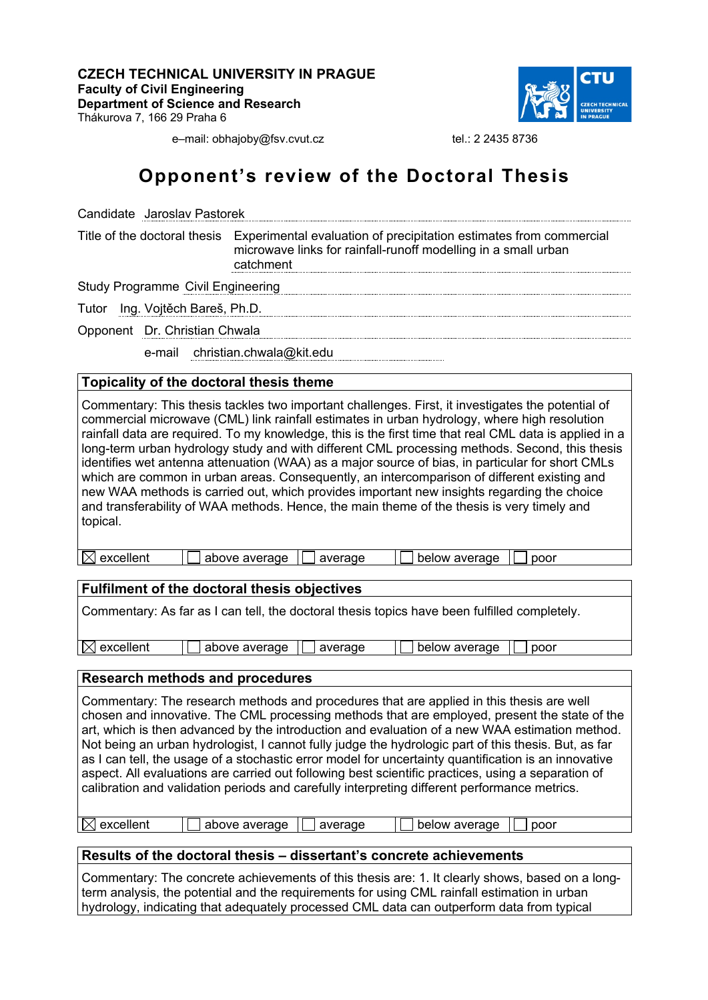**CZECH TECHNICAL UNIVERSITY IN PRAGUE Faculty of Civil Engineering Department of Science and Research** Thákurova 7, 166 29 Praha 6



e–mail: obhajoby@fsv.cvut.cz tel.: 2 2435 8736

# **Opponent's review of the Doctoral Thesis**

| Candidate Jaroslav Pastorek              |                                                                                                                                                                                |  |  |
|------------------------------------------|--------------------------------------------------------------------------------------------------------------------------------------------------------------------------------|--|--|
|                                          | Title of the doctoral thesis Experimental evaluation of precipitation estimates from commercial<br>microwave links for rainfall-runoff modelling in a small urban<br>catchment |  |  |
| <b>Study Programme Civil Engineering</b> |                                                                                                                                                                                |  |  |
| Tutor Ing. Vojtěch Bareš, Ph.D.          |                                                                                                                                                                                |  |  |
| Opponent Dr. Christian Chwala            |                                                                                                                                                                                |  |  |
|                                          | e-mail christian.chwala@kit.edu                                                                                                                                                |  |  |

## **Topicality of the doctoral thesis theme**

Commentary: This thesis tackles two important challenges. First, it investigates the potential of commercial microwave (CML) link rainfall estimates in urban hydrology, where high resolution rainfall data are required. To my knowledge, this is the first time that real CML data is applied in a long-term urban hydrology study and with different CML processing methods. Second, this thesis identifies wet antenna attenuation (WAA) as a major source of bias, in particular for short CMLs which are common in urban areas. Consequently, an intercomparison of different existing and new WAA methods is carried out, which provides important new insights regarding the choice and transferability of WAA methods. Hence, the main theme of the thesis is very timely and topical.

| n.<br>IХI<br>excellent<br>above average<br>below average<br>average<br>poor |  |
|-----------------------------------------------------------------------------|--|
|-----------------------------------------------------------------------------|--|

## **Fulfilment of the doctoral thesis objectives**

Commentary: As far as I can tell, the doctoral thesis topics have been fulfilled completely.

 $\boxtimes$  excellent  $\Box$  above average  $\Box$  average  $\Box$  below average  $\Box$  poor

# **Research methods and procedures**

Commentary: The research methods and procedures that are applied in this thesis are well chosen and innovative. The CML processing methods that are employed, present the state of the art, which is then advanced by the introduction and evaluation of a new WAA estimation method. Not being an urban hydrologist, I cannot fully judge the hydrologic part of this thesis. But, as far as I can tell, the usage of a stochastic error model for uncertainty quantification is an innovative aspect. All evaluations are carried out following best scientific practices, using a separation of calibration and validation periods and carefully interpreting different performance metrics.

 $\boxtimes$  excellent  $\Box$  above average  $\Box$  average  $\Box$  below average  $\Box$  poor

## **Results of the doctoral thesis – dissertant's concrete achievements**

Commentary: The concrete achievements of this thesis are: 1. It clearly shows, based on a longterm analysis, the potential and the requirements for using CML rainfall estimation in urban hydrology, indicating that adequately processed CML data can outperform data from typical